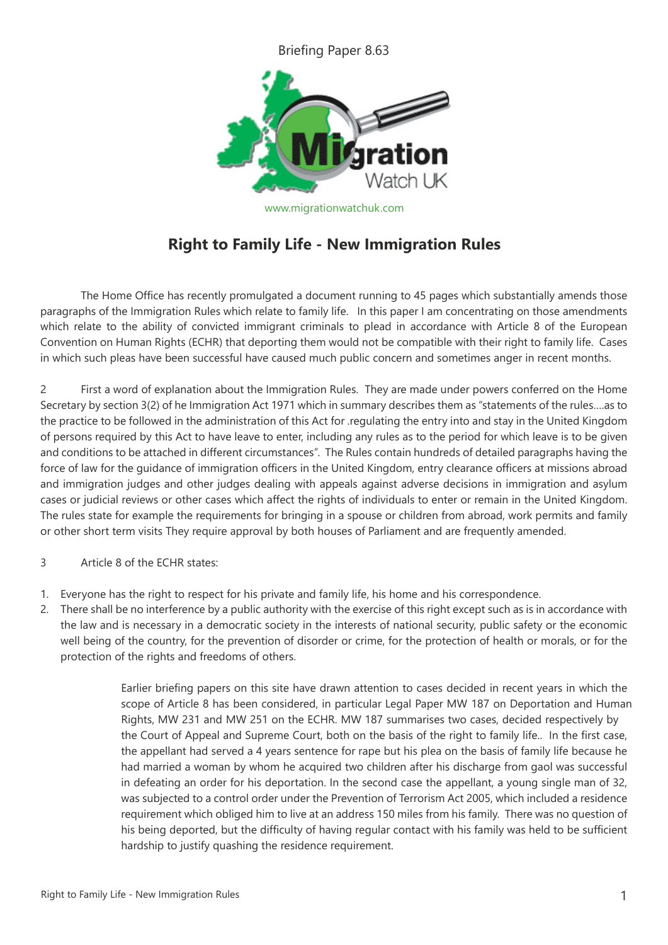Briefing Paper 8.63



www.migrationwatchuk.com

## **Right to Family Life - New Immigration Rules**

The Home Office has recently promulgated a document running to 45 pages which substantially amends those paragraphs of the Immigration Rules which relate to family life. In this paper I am concentrating on those amendments which relate to the ability of convicted immigrant criminals to plead in accordance with Article 8 of the European Convention on Human Rights (ECHR) that deporting them would not be compatible with their right to family life. Cases in which such pleas have been successful have caused much public concern and sometimes anger in recent months.

2 First a word of explanation about the Immigration Rules. They are made under powers conferred on the Home Secretary by section 3(2) of he Immigration Act 1971 which in summary describes them as "statements of the rules….as to the practice to be followed in the administration of this Act for .regulating the entry into and stay in the United Kingdom of persons required by this Act to have leave to enter, including any rules as to the period for which leave is to be given and conditions to be attached in different circumstances". The Rules contain hundreds of detailed paragraphs having the force of law for the guidance of immigration officers in the United Kingdom, entry clearance officers at missions abroad and immigration judges and other judges dealing with appeals against adverse decisions in immigration and asylum cases or judicial reviews or other cases which affect the rights of individuals to enter or remain in the United Kingdom. The rules state for example the requirements for bringing in a spouse or children from abroad, work permits and family or other short term visits They require approval by both houses of Parliament and are frequently amended.

- 3 Article 8 of the ECHR states:
- 1. Everyone has the right to respect for his private and family life, his home and his correspondence.
- 2. There shall be no interference by a public authority with the exercise of this right except such as is in accordance with the law and is necessary in a democratic society in the interests of national security, public safety or the economic well being of the country, for the prevention of disorder or crime, for the protection of health or morals, or for the protection of the rights and freedoms of others.

Earlier briefing papers on this site have drawn attention to cases decided in recent years in which the scope of Article 8 has been considered, in particular Legal Paper MW 187 on Deportation and Human Rights, MW 231 and MW 251 on the ECHR. MW 187 summarises two cases, decided respectively by the Court of Appeal and Supreme Court, both on the basis of the right to family life.. In the first case, the appellant had served a 4 years sentence for rape but his plea on the basis of family life because he had married a woman by whom he acquired two children after his discharge from gaol was successful in defeating an order for his deportation. In the second case the appellant, a young single man of 32, was subjected to a control order under the Prevention of Terrorism Act 2005, which included a residence requirement which obliged him to live at an address 150 miles from his family. There was no question of his being deported, but the difficulty of having regular contact with his family was held to be sufficient hardship to justify quashing the residence requirement.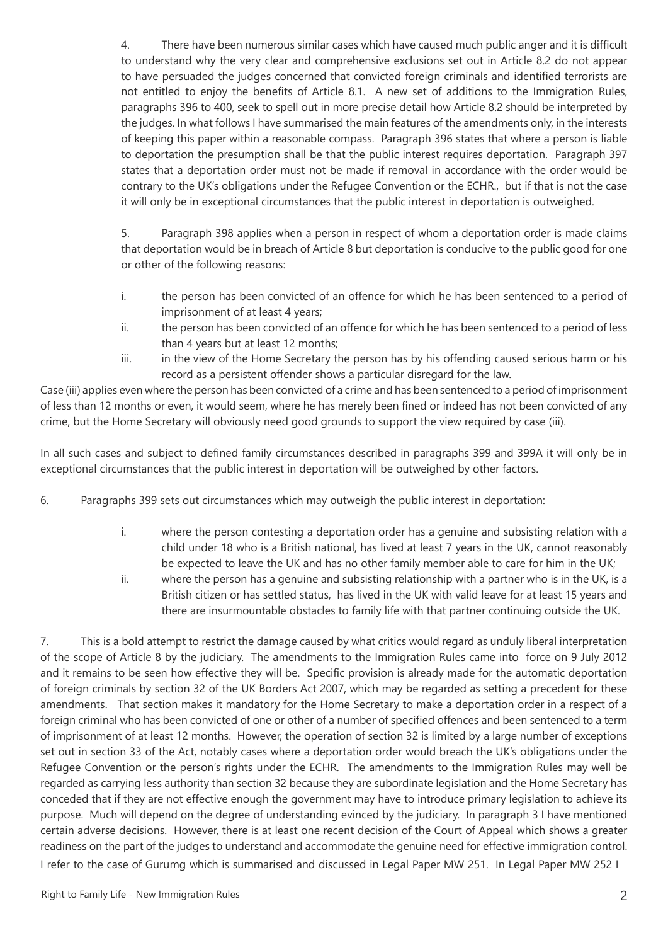4. There have been numerous similar cases which have caused much public anger and it is difficult to understand why the very clear and comprehensive exclusions set out in Article 8.2 do not appear to have persuaded the judges concerned that convicted foreign criminals and identified terrorists are not entitled to enjoy the benefits of Article 8.1. A new set of additions to the Immigration Rules, paragraphs 396 to 400, seek to spell out in more precise detail how Article 8.2 should be interpreted by the judges. In what follows I have summarised the main features of the amendments only, in the interests of keeping this paper within a reasonable compass. Paragraph 396 states that where a person is liable to deportation the presumption shall be that the public interest requires deportation. Paragraph 397 states that a deportation order must not be made if removal in accordance with the order would be contrary to the UK's obligations under the Refugee Convention or the ECHR., but if that is not the case it will only be in exceptional circumstances that the public interest in deportation is outweighed.

5. Paragraph 398 applies when a person in respect of whom a deportation order is made claims that deportation would be in breach of Article 8 but deportation is conducive to the public good for one or other of the following reasons:

- i. the person has been convicted of an offence for which he has been sentenced to a period of imprisonment of at least 4 years;
- ii. the person has been convicted of an offence for which he has been sentenced to a period of less than 4 years but at least 12 months;
- iii. in the view of the Home Secretary the person has by his offending caused serious harm or his record as a persistent offender shows a particular disregard for the law.

Case (iii) applies even where the person has been convicted of a crime and has been sentenced to a period of imprisonment of less than 12 months or even, it would seem, where he has merely been fined or indeed has not been convicted of any crime, but the Home Secretary will obviously need good grounds to support the view required by case (iii).

In all such cases and subject to defined family circumstances described in paragraphs 399 and 399A it will only be in exceptional circumstances that the public interest in deportation will be outweighed by other factors.

6. Paragraphs 399 sets out circumstances which may outweigh the public interest in deportation:

- i. where the person contesting a deportation order has a genuine and subsisting relation with a child under 18 who is a British national, has lived at least 7 years in the UK, cannot reasonably be expected to leave the UK and has no other family member able to care for him in the UK;
- ii. where the person has a genuine and subsisting relationship with a partner who is in the UK, is a British citizen or has settled status, has lived in the UK with valid leave for at least 15 years and there are insurmountable obstacles to family life with that partner continuing outside the UK.

7. This is a bold attempt to restrict the damage caused by what critics would regard as unduly liberal interpretation of the scope of Article 8 by the judiciary. The amendments to the Immigration Rules came into force on 9 July 2012 and it remains to be seen how effective they will be. Specific provision is already made for the automatic deportation of foreign criminals by section 32 of the UK Borders Act 2007, which may be regarded as setting a precedent for these amendments. That section makes it mandatory for the Home Secretary to make a deportation order in a respect of a foreign criminal who has been convicted of one or other of a number of specified offences and been sentenced to a term of imprisonment of at least 12 months. However, the operation of section 32 is limited by a large number of exceptions set out in section 33 of the Act, notably cases where a deportation order would breach the UK's obligations under the Refugee Convention or the person's rights under the ECHR. The amendments to the Immigration Rules may well be regarded as carrying less authority than section 32 because they are subordinate legislation and the Home Secretary has conceded that if they are not effective enough the government may have to introduce primary legislation to achieve its purpose. Much will depend on the degree of understanding evinced by the judiciary. In paragraph 3 I have mentioned certain adverse decisions. However, there is at least one recent decision of the Court of Appeal which shows a greater readiness on the part of the judges to understand and accommodate the genuine need for effective immigration control. I refer to the case of Gurumg which is summarised and discussed in Legal Paper MW 251. In Legal Paper MW 252 I